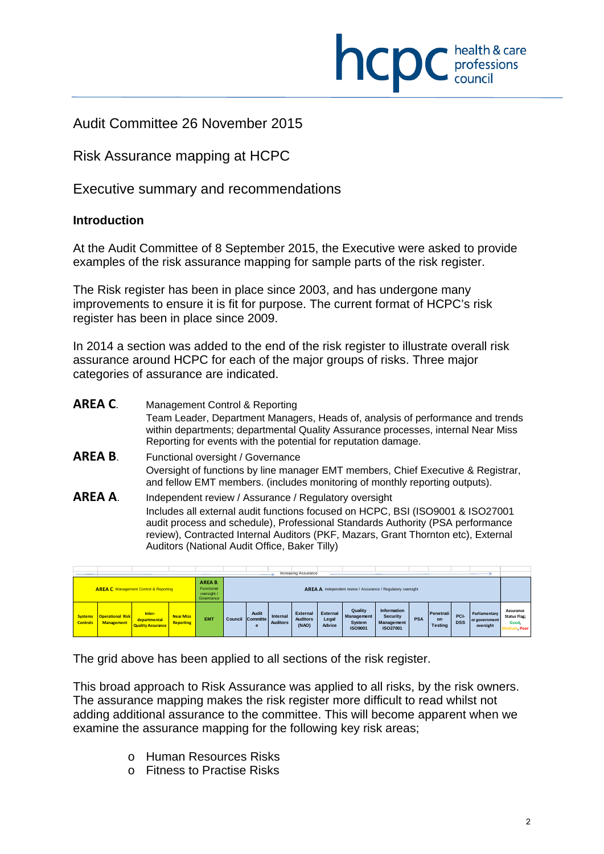

## Audit Committee 26 November 2015

## Risk Assurance mapping at HCPC

Executive summary and recommendations

### **Introduction**

 $\overline{a}$ 

At the Audit Committee of 8 September 2015, the Executive were asked to provide examples of the risk assurance mapping for sample parts of the risk register.

The Risk register has been in place since 2003, and has undergone many improvements to ensure it is fit for purpose. The current format of HCPC's risk register has been in place since 2009.

In 2014 a section was added to the end of the risk register to illustrate overall risk assurance around HCPC for each of the major groups of risks. Three major categories of assurance are indicated.

- **AREA C**. Management Control & Reporting Team Leader, Department Managers, Heads of, analysis of performance and trends within departments; departmental Quality Assurance processes, internal Near Miss Reporting for events with the potential for reputation damage.
- **AREA B**. Functional oversight / Governance Oversight of functions by line manager EMT members, Chief Executive & Registrar, and fellow EMT members. (includes monitoring of monthly reporting outputs).
- **AREA A**. Independent review / Assurance / Regulatory oversight Includes all external audit functions focused on HCPC, BSI (ISO9001 & ISO27001 audit process and schedule), Professional Standards Authority (PSA performance review), Contracted Internal Auditors (PKF, Mazars, Grant Thornton etc), External Auditors (National Audit Office, Baker Tilly)

|                                   |                                              |                                                                  |            |                                                    |                               |                             |                                             | Increasing Assurance        |                                                   |                                                                 |            |                                   |                    |                                                    |                                                           |  |
|-----------------------------------|----------------------------------------------|------------------------------------------------------------------|------------|----------------------------------------------------|-------------------------------|-----------------------------|---------------------------------------------|-----------------------------|---------------------------------------------------|-----------------------------------------------------------------|------------|-----------------------------------|--------------------|----------------------------------------------------|-----------------------------------------------------------|--|
|                                   |                                              | <b>AREA C. Management Control &amp; Reporting</b>                |            | AREA B.<br>Functional<br>oversight /<br>Governance |                               |                             |                                             |                             |                                                   | AREA A. Independent review / Assurance / Regulatory oversight   |            |                                   |                    |                                                    |                                                           |  |
| <b>Systems</b><br><b>Controls</b> | <b>Operational Risk</b><br><b>Management</b> | <b>Near Miss</b><br><b>Reporting</b><br><b>Quality Assurance</b> | <b>EMT</b> | Council                                            | Audit<br><b>Committe</b><br>e | Internal<br><b>Auditors</b> | <b>External</b><br><b>Auditors</b><br>(NAO) | External<br>Legal<br>Advice | Quality<br>Management<br>System<br><b>ISO9001</b> | <b>Information</b><br><b>Security</b><br>Management<br>ISO27001 | <b>PSA</b> | Penetrati<br>on<br><b>Testing</b> | PCI-<br><b>DSS</b> | <b>Parliamentary</b><br>or government<br>oversight | Assurance<br><b>Status Flag;</b><br>Good,<br>Medium, Poor |  |

The grid above has been applied to all sections of the risk register.

This broad approach to Risk Assurance was applied to all risks, by the risk owners. The assurance mapping makes the risk register more difficult to read whilst not adding additional assurance to the committee. This will become apparent when we examine the assurance mapping for the following key risk areas:

- o Human Resources Risks
- o Fitness to Practise Risks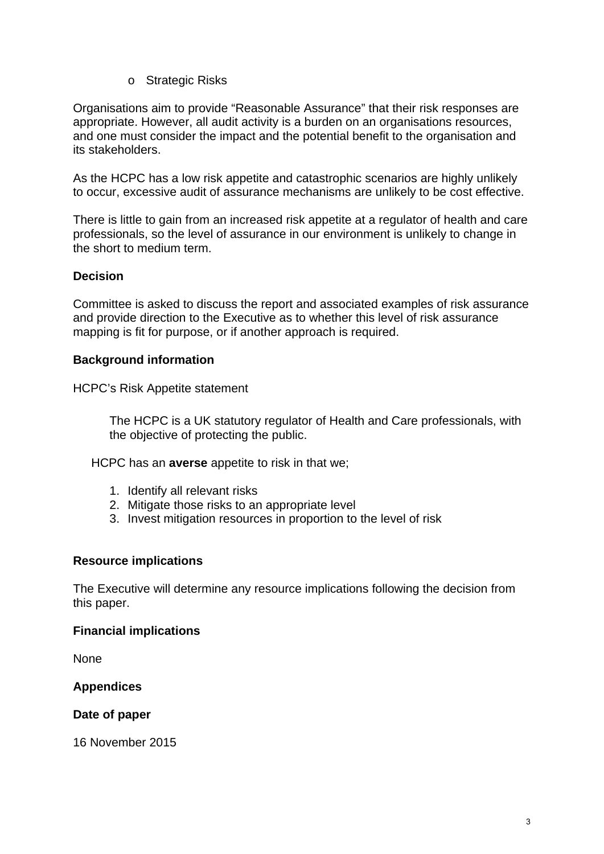o Strategic Risks

Organisations aim to provide "Reasonable Assurance" that their risk responses are appropriate. However, all audit activity is a burden on an organisations resources, and one must consider the impact and the potential benefit to the organisation and its stakeholders.

As the HCPC has a low risk appetite and catastrophic scenarios are highly unlikely to occur, excessive audit of assurance mechanisms are unlikely to be cost effective.

There is little to gain from an increased risk appetite at a regulator of health and care professionals, so the level of assurance in our environment is unlikely to change in the short to medium term.

### **Decision**

Committee is asked to discuss the report and associated examples of risk assurance and provide direction to the Executive as to whether this level of risk assurance mapping is fit for purpose, or if another approach is required.

### **Background information**

HCPC's Risk Appetite statement

The HCPC is a UK statutory regulator of Health and Care professionals, with the objective of protecting the public.

HCPC has an **averse** appetite to risk in that we;

- 1. Identify all relevant risks
- 2. Mitigate those risks to an appropriate level
- 3. Invest mitigation resources in proportion to the level of risk

#### **Resource implications**

The Executive will determine any resource implications following the decision from this paper.

#### **Financial implications**

None

#### **Appendices**

#### **Date of paper**

16 November 2015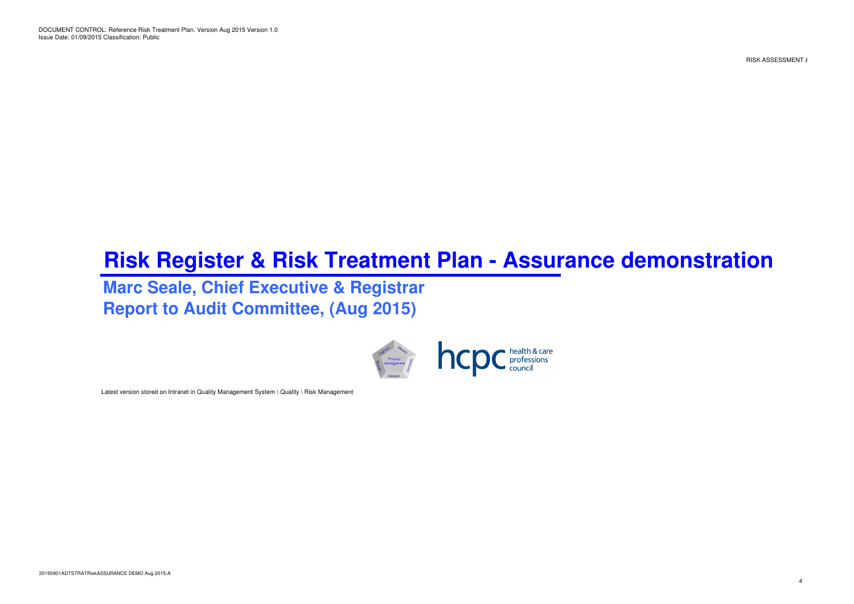DOCUMENT CONTROL: Reference Risk Treatment Plan. Version Aug 2015 Version 1.0 Issue Date: 01/09/2015 Classification: Public

RISK ASSESSMENT &

# **Risk Register & Risk Treatment Plan - Assurance demonstration**

## **Marc Seale, Chief Executive & RegistrarReport to Audit Committee, (Aug 2015)**



Latest version stored on Intranet in Quality Management System \ Quality \ Risk Management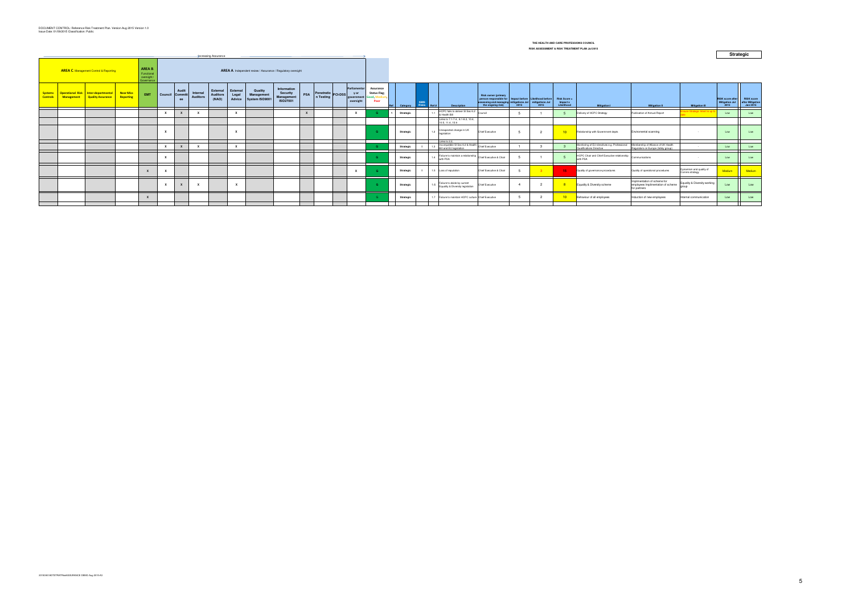|                                   |                                        |                                                                     |                                                                                                                     |              |                 |              |                             | <b>Increasing Assurance</b>          |                             |                                         |                                                          |            |                                    |  |                                                 |                                          |           |                           |                                                                                |                                                                                                                                     |      |      |                                        |                                                         |                                                                                    |                                           |                                                          | $rac{1}{2}$                                       |
|-----------------------------------|----------------------------------------|---------------------------------------------------------------------|---------------------------------------------------------------------------------------------------------------------|--------------|-----------------|--------------|-----------------------------|--------------------------------------|-----------------------------|-----------------------------------------|----------------------------------------------------------|------------|------------------------------------|--|-------------------------------------------------|------------------------------------------|-----------|---------------------------|--------------------------------------------------------------------------------|-------------------------------------------------------------------------------------------------------------------------------------|------|------|----------------------------------------|---------------------------------------------------------|------------------------------------------------------------------------------------|-------------------------------------------|----------------------------------------------------------|---------------------------------------------------|
|                                   | AREA C. Management Control & Reporting |                                                                     | AREA B.<br>AREA A. Independent review / Assurance / Regulatory oversight<br>Functional<br>oversight /<br>Governance |              |                 |              |                             |                                      |                             |                                         |                                                          |            |                                    |  |                                                 |                                          |           |                           |                                                                                |                                                                                                                                     |      |      |                                        |                                                         |                                                                                    |                                           |                                                          |                                                   |
| <b>Systems</b><br><b>Controls</b> |                                        | Operational Risk Inter-departmental<br>Management Quality Assurance | <b>Near Miss</b><br>Reporting                                                                                       | EMT          | Council Committ | Audit<br>ee  | Internal<br><b>Auditors</b> | External<br><b>Auditors</b><br>(NAO) | External<br>Legal<br>Advice | Quality<br>Management<br>System ISO9001 | Information<br><b>Security</b><br>Management<br>ISO27001 | <b>PSA</b> | Penetratio<br>n Testing<br>PCI-DSS |  | Parliamentar<br>y or<br>government<br>oversight | Assurance<br><b>Status Flag;</b><br>Poor | Category  | <b>ISMS</b><br>Risks Ref# | <b>Description</b>                                                             | <b>Risk owner (primary</b><br>person responsible for<br>assessing and managing mitigations Jul mitigations Jul<br>the ongoing risk) | 2015 | 2015 | Risk Score =<br>Impact x<br>Likelihood | <b>Mitigation I</b>                                     | <b>Mitigation II</b>                                                               | <b>Mitigation III</b>                     | <b>RISK score after</b><br><b>Mitigation Jul</b><br>2015 | <b>RISK score</b><br>after Mitigation<br>Jan 2015 |
|                                   |                                        |                                                                     |                                                                                                                     |              | $\mathbf{x}$    |              |                             |                                      |                             |                                         |                                                          |            |                                    |  |                                                 |                                          | Strategic |                           | HCPC fails to deliver SI Sec 6.2<br>& Health Bill                              | Counci                                                                                                                              |      |      |                                        | Delivery of HCPC Strategy                               | Publication of Annual Report                                                       | sure Strategic Intent is up               | Low                                                      | Low                                               |
|                                   |                                        |                                                                     |                                                                                                                     |              |                 |              |                             |                                      |                             |                                         |                                                          |            |                                    |  |                                                 |                                          |           |                           | Links to 7.1-7.4, 8.1-8.2, 10.4,<br>10.5, 11.4, 15.9                           |                                                                                                                                     |      |      |                                        |                                                         |                                                                                    |                                           |                                                          |                                                   |
|                                   |                                        |                                                                     |                                                                                                                     |              | $\mathbf{x}$    |              |                             |                                      | $\mathbf{x}$                |                                         |                                                          |            |                                    |  |                                                 |                                          | Strategic |                           | Unexpected change in UK<br>legislation                                         | Chief Executive                                                                                                                     |      |      | 10 <sup>1</sup>                        | Relationship with Government depts                      | Enviromental scanning                                                              |                                           | Low                                                      | Low                                               |
|                                   |                                        |                                                                     |                                                                                                                     |              | $\mathbf{v}$    |              |                             |                                      | $\mathbf{x}$                |                                         |                                                          |            |                                    |  |                                                 |                                          |           |                           | Links to 2.2.<br>Incompatible SI Sec 6.2 & Health Chief Executive              |                                                                                                                                     |      |      |                                        | Monitoring of EU directives e.g. Professional           | Membership of Alliance of UK Health                                                |                                           | Low                                                      | I nw                                              |
|                                   |                                        |                                                                     |                                                                                                                     |              |                 | $\mathbf{x}$ |                             |                                      |                             |                                         |                                                          |            |                                    |  |                                                 |                                          | Strategic |                           | Bill and EU legislation                                                        |                                                                                                                                     |      |      |                                        | Qualifications Directive                                | Regulators on Europe (lobby group)                                                 |                                           |                                                          |                                                   |
|                                   |                                        |                                                                     |                                                                                                                     |              | $\mathbf{x}$    |              |                             |                                      |                             |                                         |                                                          |            |                                    |  |                                                 |                                          | Strategic |                           | Failure to maintain a relationship Chief Executive & Chair<br>14  <br>with PSA |                                                                                                                                     |      |      |                                        | HCPC Chair and Chief Executive relationship<br>with PSA | Communications                                                                     |                                           | Low                                                      | Low                                               |
|                                   |                                        |                                                                     |                                                                                                                     | $\mathbf{x}$ | $\mathbf{x}$    |              |                             |                                      |                             |                                         |                                                          |            |                                    |  | $\mathbf{x}$                                    |                                          | Strategic |                           | 1.5 Loss of reputation                                                         | Chief Executive & Chair                                                                                                             |      |      | 15                                     | Quality of governance procedures                        | Quality of operational procedures                                                  | Dynamism and quality of<br>Comms strategy | Medium                                                   | Medium                                            |
|                                   |                                        |                                                                     |                                                                                                                     |              | $\mathbf{x}$    | $\mathbf{x}$ | $\mathbf{x}$                |                                      | $\mathbf{x}$                |                                         |                                                          |            |                                    |  |                                                 |                                          | Strategic |                           | 1.6 Failure to abide by current<br>Equality & Diversity legislation            | Chief Executive                                                                                                                     |      |      | ಂ                                      | Equality & Diversity scheme                             | Implimentation of scheme for<br>employees Implimentation of scheme<br>for partners | Equality & Diversity working              | Low                                                      | Low                                               |
|                                   |                                        |                                                                     |                                                                                                                     | $\mathbf{Y}$ |                 |              |                             |                                      |                             |                                         |                                                          |            |                                    |  |                                                 |                                          | Strategic |                           | 1.7 Failure to maintain HCPC culture Chief Executive                           |                                                                                                                                     |      |      | 10 <sup>1</sup>                        | Behaviour of all employees                              | Induction of new employees                                                         | Internal communication                    | Low                                                      | Low                                               |
|                                   |                                        |                                                                     |                                                                                                                     |              |                 |              |                             |                                      |                             |                                         |                                                          |            |                                    |  |                                                 |                                          |           |                           |                                                                                |                                                                                                                                     |      |      |                                        |                                                         |                                                                                    |                                           |                                                          |                                                   |

#### **THE HEALTH AND CARE PROFESSIONS COUNCILRISK ASSESSMENT & RISK TREATMENT PLAN Jul 2015**

**Strategic**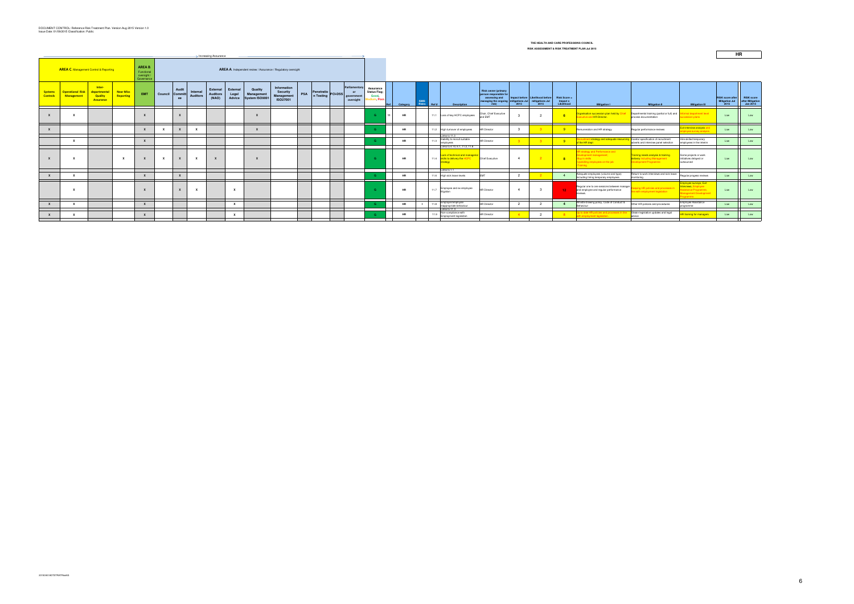|                                   |                                                                                                                                                                      |                                                              |                               |                           |              |                                |                             |                                      |                             |                                         |                                                                 |            |                                    | RISK ASSESSMENT & RISK TREATMENT PLAN Jul 2015 |                                               |                                                       |           |  |            |                                                                                                                 |                                                                                                       |                |                                                                            |                                               |                                                                                                                             |                                                                                                         |                                                                                                            |                                                          |                                                   |
|-----------------------------------|----------------------------------------------------------------------------------------------------------------------------------------------------------------------|--------------------------------------------------------------|-------------------------------|---------------------------|--------------|--------------------------------|-----------------------------|--------------------------------------|-----------------------------|-----------------------------------------|-----------------------------------------------------------------|------------|------------------------------------|------------------------------------------------|-----------------------------------------------|-------------------------------------------------------|-----------|--|------------|-----------------------------------------------------------------------------------------------------------------|-------------------------------------------------------------------------------------------------------|----------------|----------------------------------------------------------------------------|-----------------------------------------------|-----------------------------------------------------------------------------------------------------------------------------|---------------------------------------------------------------------------------------------------------|------------------------------------------------------------------------------------------------------------|----------------------------------------------------------|---------------------------------------------------|
|                                   | > Increasing Assurance                                                                                                                                               |                                                              |                               |                           |              |                                |                             |                                      |                             |                                         |                                                                 |            |                                    |                                                |                                               |                                                       |           |  |            |                                                                                                                 |                                                                                                       |                |                                                                            |                                               |                                                                                                                             |                                                                                                         |                                                                                                            | HR                                                       |                                                   |
|                                   | AREA B.<br><b>AREA C.</b> Management Control & Reporting<br>AREA A. Independent review / Assurance / Regulatory oversight<br>Functional<br>oversight /<br>Governance |                                                              |                               |                           |              |                                |                             |                                      |                             |                                         |                                                                 |            |                                    |                                                |                                               |                                                       |           |  |            |                                                                                                                 |                                                                                                       |                |                                                                            |                                               |                                                                                                                             |                                                                                                         |                                                                                                            |                                                          |                                                   |
| <b>Systems</b><br><b>Controls</b> | <b>Operational Risk</b><br><b>Management</b>                                                                                                                         | Inter-<br>departmental<br><b>Quality</b><br><b>Assurance</b> | <b>Near Miss</b><br>Reporting | <b>EMT</b>                |              | Audit<br>Council Committ<br>ee | Internal<br><b>Auditors</b> | External<br><b>Auditors</b><br>(NAO) | External<br>Legal<br>Advice | Quality<br>Management<br>System ISO9001 | Information<br><b>Security</b><br>Management<br><b>ISO27001</b> | <b>PSA</b> | Penetratio<br>n Testing<br>PCI-DSS |                                                | Parliamentary<br>or<br>governmen<br>oversight | Assurance<br><b>Status Flag;</b><br>Good,<br>m. Poor. | Category  |  | Risks Ref# | <b>Description</b>                                                                                              | <b>Risk owner (primary</b><br>person responsible fo<br>assessing and<br>managing the ongoing<br>risk) | 2015           | Impact before Likelihood before<br>mitigations Jul mitigations Jul<br>2015 | <b>Risk Score =</b><br>Impact x<br>Likelihood | <b>Mitigation I</b>                                                                                                         | <b>Mitigation II</b>                                                                                    | <b>Mitigation III</b>                                                                                      | <b>RISK score after</b><br><b>Mitigation Jul</b><br>2015 | <b>RISK score</b><br>after Mitigation<br>Jan 2015 |
|                                   |                                                                                                                                                                      |                                                              |                               | $\mathbf{x}$              |              |                                |                             |                                      |                             | $\mathbf{x}$                            |                                                                 |            |                                    |                                                |                                               | <b>G</b>                                              | <b>HR</b> |  |            | 11.1 Loss of key HCPC employees                                                                                 | Chair, Chief Executive<br>and EMT                                                                     |                | $\overline{2}$                                                             | 6 <sup>1</sup>                                | Organisation succession plan held by Chief Departmental training (partial or full) and<br><b>Executive and HR Director.</b> | process documentation                                                                                   | ormal department level<br>ccession plans                                                                   | Low                                                      | Low                                               |
| $\mathbf{x}$                      |                                                                                                                                                                      |                                                              |                               | $\mathbf{x}$              | $\mathbf{x}$ | $\mathbf{x}$                   | $\mathbf{x}$                |                                      |                             | $\mathbf{x}$                            |                                                                 |            |                                    |                                                |                                               |                                                       | HR        |  |            | 11.2 High turnover of employees                                                                                 | <b>HR</b> Director                                                                                    |                |                                                                            | -9                                            | Remuneration and HR strategy                                                                                                | Regular performance reviews                                                                             | <mark>it interview analysis and</mark><br>ployee survey analysis                                           | Low                                                      | Low                                               |
|                                   |                                                                                                                                                                      |                                                              |                               | $\mathbf{x}$              |              |                                |                             |                                      |                             |                                         |                                                                 |            |                                    |                                                |                                               |                                                       | <b>HR</b> |  | 11.3       | Links to 11.3<br>Inability to recruit suitable<br>employees                                                     | <b>HR Director</b>                                                                                    |                |                                                                            | $9+$                                          | Recruitment strategy and adequate resourcing Careful specification of recruitment<br>of the HR dept                         | adverts and interview panel selection                                                                   | Hire skilled temporary<br>emplovees in the interim                                                         | Low                                                      | Low                                               |
|                                   |                                                                                                                                                                      |                                                              | $\mathbf{x}$                  | $\mathbf{x}$              | $\mathbf{x}$ | $\mathbf{x}$                   | $\mathbf{x}$                | $\mathbf{x}$                         |                             | $\mathbf{x}$                            |                                                                 |            |                                    |                                                |                                               | <b>G</b>                                              | <b>HR</b> |  |            | Links to 4.10, 6.1, 11.2, 11.8<br>Lack of technical and manageri<br>11.4 skills to delivery the HCPC<br>trategy | Chief Executive                                                                                       | $\overline{4}$ |                                                                            | 8 <sup>2</sup>                                | HR strategy and Performance and<br>Development management;<br>Buy in skills<br>Upskilling employees on the job<br>raining   | <b>Training needs analysis &amp; training</b><br>delivery including Management<br>Development Programme | Some projects or work<br>initiatives delayed or<br>outsourced                                              | Low                                                      | Low                                               |
|                                   |                                                                                                                                                                      |                                                              |                               | $\mathbf{x}$              |              | $\mathbf{x}$                   |                             |                                      |                             |                                         |                                                                 |            |                                    |                                                |                                               |                                                       | <b>HR</b> |  |            | Links to 1.1<br>11.6 High sick leave levels                                                                     |                                                                                                       | $\overline{2}$ |                                                                            |                                               | Adequate employees (volume and type)<br>including hiring temporary employees                                                | Return to work interviews and sick leave<br>monitoring                                                  | Regular progess reviews                                                                                    | Low                                                      | Low                                               |
|                                   | $\mathbf{x}$                                                                                                                                                         |                                                              |                               | $\boldsymbol{x}$          |              |                                | $\mathbf{x}$                |                                      | $\mathbf{x}$                |                                         |                                                                 |            |                                    |                                                |                                               | <b>G</b>                                              | <b>HR</b> |  | 11.7       | Employee and ex-employee                                                                                        | <b>HR Director</b>                                                                                    | $\overline{4}$ |                                                                            | $12 -$                                        | Regular one to one sessions between manager<br>and employee and regular performance<br>reviews.                             | eping HR policies and processes<br>e with employment legislation                                        | mployee surveys, Exit<br>nterviews, Employee<br>ssistance Programme,<br>Management Development<br>ogramme. | Low                                                      | Low                                               |
|                                   |                                                                                                                                                                      |                                                              |                               | $\boldsymbol{\mathsf{x}}$ |              |                                |                             |                                      | $\mathbf{x}$                |                                         |                                                                 |            |                                    |                                                |                                               |                                                       | <b>HR</b> |  | 11.8       | Employer/employee<br>inappropriate behaviou                                                                     | <b>HR Director</b>                                                                                    |                |                                                                            |                                               | Whistle blowing policy, Code of Conduct &                                                                                   | Other HR policies and procedures                                                                        | Employee Assistance<br>rogramme                                                                            | Low                                                      | Low                                               |
|                                   |                                                                                                                                                                      |                                                              |                               | X                         |              |                                |                             |                                      | $\mathbf{x}$                |                                         |                                                                 |            |                                    |                                                |                                               |                                                       | <b>HR</b> |  | 11.9       | Links to 11.3<br>Non-compliance with<br><b>Employment legislation</b>                                           | <b>HR Director</b>                                                                                    |                |                                                                            |                                               | Up to date HR policies and processes in line   Obtain legislation updates and legal<br>with employment legislation.         | advice                                                                                                  | training for managers                                                                                      | Low                                                      | Low                                               |
|                                   |                                                                                                                                                                      |                                                              |                               |                           |              |                                |                             |                                      |                             |                                         |                                                                 |            |                                    |                                                |                                               |                                                       |           |  |            |                                                                                                                 |                                                                                                       |                |                                                                            |                                               |                                                                                                                             |                                                                                                         |                                                                                                            |                                                          |                                                   |

#### **THE HEALTH AND CARE PROFESSIONS COUNCILRISK ASSESSMENT & RISK TREATMENT PLAN Jul 2015**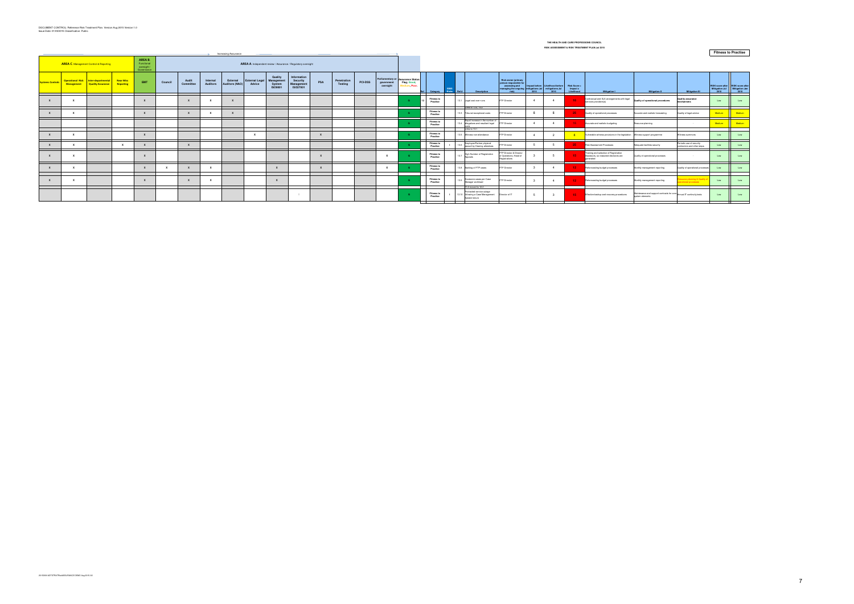| <b>Increasing Assurance</b><br>$\rightarrow$                                                                                                                  |            |                                                          |                               |              |         |                    |                             |                            |                                 |                                                   |                                                   |     |                        |                |                        |                                                              |                               |                      |                                                                                          |                                                                                                                                 |                |                                         |                                      |                                                                                             | <b>Fitness to Practise</b>                                    |                                                         |                                                             |                        |
|---------------------------------------------------------------------------------------------------------------------------------------------------------------|------------|----------------------------------------------------------|-------------------------------|--------------|---------|--------------------|-----------------------------|----------------------------|---------------------------------|---------------------------------------------------|---------------------------------------------------|-----|------------------------|----------------|------------------------|--------------------------------------------------------------|-------------------------------|----------------------|------------------------------------------------------------------------------------------|---------------------------------------------------------------------------------------------------------------------------------|----------------|-----------------------------------------|--------------------------------------|---------------------------------------------------------------------------------------------|---------------------------------------------------------------|---------------------------------------------------------|-------------------------------------------------------------|------------------------|
| AREA B.<br>AREA C. Management Control & Reporting<br>AREA A. Independent review / Assurance / Regulatory oversight<br>Functional<br>oversight /<br>Governance |            |                                                          |                               |              |         |                    |                             |                            |                                 |                                                   |                                                   |     |                        |                |                        |                                                              |                               |                      |                                                                                          |                                                                                                                                 |                |                                         |                                      |                                                                                             |                                                               |                                                         |                                                             |                        |
| Systems Control:                                                                                                                                              | Management | Operational Risk Inter-departmental<br>Quality Assurance | <b>Near Miss</b><br>Reporting | EMT          | Council | Audit<br>Committee | Internal<br><b>Auditors</b> | External<br>Auditors (NAO) | <b>External Legal</b><br>Advice | Quality<br>Management<br>System<br><b>ISO9001</b> | Information<br>Security<br>Management<br>ISO27001 | PSA | Penetration<br>Testing | <b>PCI-DSS</b> | governmen<br>oversight | Parliamentary or Assurance Status<br>Flag; Good,<br>m. Poor. |                               | Category Risks Ref # | <b>Description</b>                                                                       | Risk owner (primary<br>person responsible for<br>assessing and<br>managing the ongoing mitigations Jul mitigations Jul<br>risk) | 2015           | Impact before Likelihood before<br>2015 | Risk Score<br>Impact x<br>Likelihood | <b>Mitigation I</b>                                                                         | <b>Mitigation II</b>                                          | <b>Mitigation III</b>                                   | RISK score after RISK score after<br>Mitigation Jul<br>2015 | Mitigation Jan<br>2015 |
|                                                                                                                                                               |            |                                                          |                               |              |         |                    |                             |                            |                                 |                                                   |                                                   |     |                        |                |                        |                                                              | <b>Fitness to</b><br>Practise |                      | 13.1 Legal cost over-runs                                                                | FTP Director                                                                                                                    |                |                                         |                                      | Contractual and SLA arrangements with legal<br>services providers(s)                        | Quality of operational procedures                             | Quality assurance<br>nechanisms                         | Low                                                         | Low                    |
|                                                                                                                                                               |            |                                                          |                               | $\mathbf{Y}$ |         |                    |                             |                            |                                 |                                                   |                                                   |     |                        |                |                        |                                                              | <b>Fitness to</b><br>Practise |                      | Links to 13.4, 15.2<br>13.3 Tribunal exceptional costs                                   | FTP Director                                                                                                                    | 5              |                                         | -25                                  | Quality of operational processes                                                            | Accurate and realistic forecasting                            | Quality of legal advice                                 | Medium                                                      | Medium                 |
|                                                                                                                                                               |            |                                                          |                               |              |         |                    |                             |                            |                                 |                                                   |                                                   |     |                        |                |                        |                                                              | <b>Fitness to</b><br>Practise |                      | Rapid increase in the number of<br>13.4 allegations and resultant legal<br>Links to 13.1 | FTP Director                                                                                                                    | $\overline{4}$ | $\Delta$                                |                                      | Accurate and realistic budgeting                                                            | Resource planning                                             |                                                         | Medium                                                      | Medium                 |
|                                                                                                                                                               |            |                                                          |                               | Y            |         |                    |                             |                            | Y                               |                                                   |                                                   |     |                        |                |                        |                                                              | <b>Fitness to</b><br>Practise |                      | 13.5 Witness non-attendance                                                              | FTP Director                                                                                                                    | $\overline{4}$ |                                         |                                      | Vulnerable witness provisions in the legislation Witness support programme                  |                                                               | Witness summons                                         | Low                                                         | Low                    |
|                                                                                                                                                               |            |                                                          |                               |              |         |                    |                             |                            |                                 |                                                   |                                                   |     |                        |                |                        |                                                              | <b>Fitness t</b><br>Practise  |                      | Employee/Partner physical<br>assault by Hearing attendees                                | <b>TP Director</b>                                                                                                              |                |                                         | -25                                  | <b>Risk Assessment Processes</b>                                                            | Adequate facilities security                                  | Periodic use of security<br>contractors and other steps | Low                                                         | Low                    |
|                                                                                                                                                               |            |                                                          |                               |              |         |                    |                             |                            |                                 |                                                   |                                                   |     |                        |                | $\mathbf{x}$           |                                                              | <b>Fitness to</b><br>Practise |                      | High Number of Registration                                                              | FTP Director & Director<br>d Operations, Head of<br>Registrations                                                               |                |                                         | 15                                   | Training and selection of Registration<br>Assessors, so reasoned decisions are<br>generated | Quality of operational processes                              |                                                         | Low                                                         | Low                    |
|                                                                                                                                                               |            |                                                          |                               | $\mathbf{x}$ |         |                    | $\mathbf{x}$                |                            |                                 |                                                   |                                                   |     |                        |                |                        |                                                              | Fitness t<br>Practise         |                      | 13.8 Backlog of FTP cases                                                                | FTP Director                                                                                                                    |                |                                         | $-12$                                | Reforecasting budget processes                                                              | Monthly management reporting                                  | Quality of operational processes                        | Low                                                         | Low                    |
|                                                                                                                                                               |            |                                                          |                               |              |         |                    |                             |                            |                                 |                                                   |                                                   |     |                        |                |                        |                                                              |                               |                      |                                                                                          |                                                                                                                                 |                |                                         |                                      |                                                                                             |                                                               |                                                         |                                                             |                        |
|                                                                                                                                                               |            |                                                          |                               | $\mathbf{x}$ |         |                    | $\mathbf{x}$                |                            |                                 |                                                   |                                                   |     |                        |                |                        |                                                              | <b>Fitness to</b><br>Practise |                      | 1 <sub>13.9</sub> Excessive cases per Case<br>Manager workload                           | FTP Director                                                                                                                    |                |                                         | $12 -$                               | Reforecasting budget processes                                                              | Monthly management reporting                                  | source planning & Quality<br>erational processes        | Low                                                         | Low                    |
|                                                                                                                                                               |            |                                                          |                               |              |         |                    |                             |                            |                                 |                                                   |                                                   |     |                        |                |                        |                                                              |                               |                      | 13.2 moved to 12.2                                                                       |                                                                                                                                 |                |                                         |                                      |                                                                                             |                                                               |                                                         |                                                             |                        |
|                                                                                                                                                               |            |                                                          |                               |              |         |                    |                             |                            |                                 |                                                   |                                                   |     |                        |                |                        |                                                              | <b>Fitness t</b><br>Practise  |                      | Protracted service outage<br>13.10 following a Case Management<br>System failure         | Director of IT                                                                                                                  | -5             |                                         | $-15$                                | Effective backup and recovery procedures                                                    | Maintenance and support contracts for core<br>system elements | Annual IT continuity tests                              | Low                                                         | Low                    |
|                                                                                                                                                               |            |                                                          |                               |              |         |                    |                             |                            |                                 |                                                   |                                                   |     |                        |                |                        |                                                              |                               |                      |                                                                                          |                                                                                                                                 |                |                                         |                                      |                                                                                             |                                                               |                                                         |                                                             |                        |

#### **THE HEALTH AND CARE PROFESSIONS COUNCIL RISK ASSESSMENT & RISK TREATMENT PLAN Jul 2015**

**Fitness to Practise**